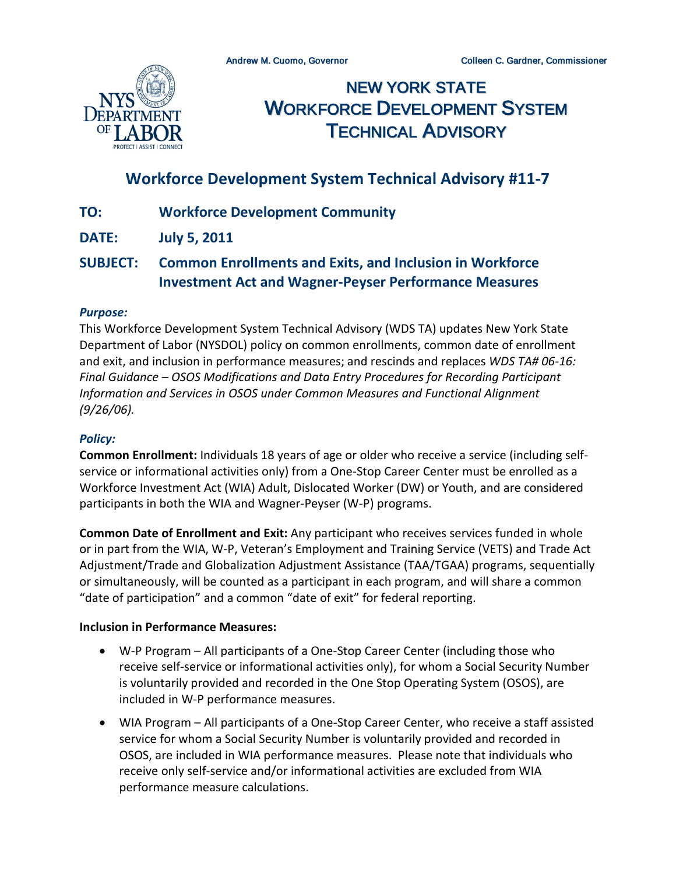

NEW YORK STATE WORKFORCE DEVELOPMENT SYSTEM TECHNICAL ADVISORY

# **Workforce Development System Technical Advisory #11-7**

- **TO: Workforce Development Community**
- **DATE: July 5, 2011**

## **SUBJECT: Common Enrollments and Exits, and Inclusion in Workforce Investment Act and Wagner-Peyser Performance Measures**

#### *Purpose:*

This Workforce Development System Technical Advisory (WDS TA) updates New York State Department of Labor (NYSDOL) policy on common enrollments, common date of enrollment and exit, and inclusion in performance measures; and rescinds and replaces *WDS TA# 06-16: Final Guidance – OSOS Modifications and Data Entry Procedures for Recording Participant Information and Services in OSOS under Common Measures and Functional Alignment (9/26/06).*

#### *Policy:*

**Common Enrollment:** Individuals 18 years of age or older who receive a service (including selfservice or informational activities only) from a One-Stop Career Center must be enrolled as a Workforce Investment Act (WIA) Adult, Dislocated Worker (DW) or Youth, and are considered participants in both the WIA and Wagner-Peyser (W-P) programs.

**Common Date of Enrollment and Exit:** Any participant who receives services funded in whole or in part from the WIA, W-P, Veteran's Employment and Training Service (VETS) and Trade Act Adjustment/Trade and Globalization Adjustment Assistance (TAA/TGAA) programs, sequentially or simultaneously, will be counted as a participant in each program, and will share a common "date of participation" and a common "date of exit" for federal reporting.

#### **Inclusion in Performance Measures:**

- W-P Program All participants of a One-Stop Career Center (including those who receive self-service or informational activities only), for whom a Social Security Number is voluntarily provided and recorded in the One Stop Operating System (OSOS), are included in W-P performance measures.
- WIA Program All participants of a One-Stop Career Center, who receive a staff assisted service for whom a Social Security Number is voluntarily provided and recorded in OSOS, are included in WIA performance measures. Please note that individuals who receive only self-service and/or informational activities are excluded from WIA performance measure calculations.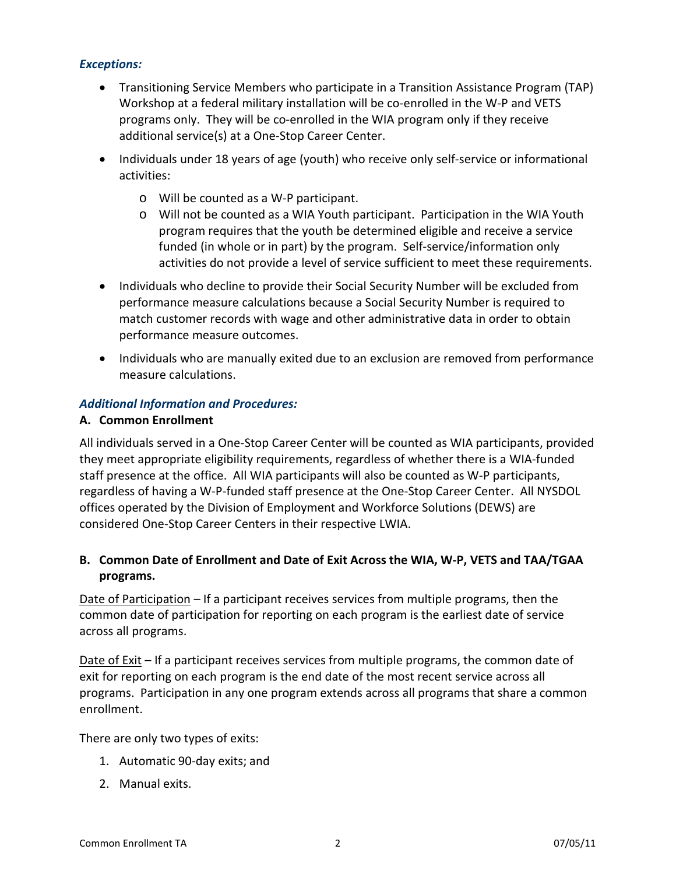#### *Exceptions:*

- Transitioning Service Members who participate in a Transition Assistance Program (TAP) Workshop at a federal military installation will be co-enrolled in the W-P and VETS programs only. They will be co-enrolled in the WIA program only if they receive additional service(s) at a One-Stop Career Center.
- Individuals under 18 years of age (youth) who receive only self-service or informational activities:
	- o Will be counted as a W-P participant.
	- o Will not be counted as a WIA Youth participant. Participation in the WIA Youth program requires that the youth be determined eligible and receive a service funded (in whole or in part) by the program. Self-service/information only activities do not provide a level of service sufficient to meet these requirements.
- Individuals who decline to provide their Social Security Number will be excluded from performance measure calculations because a Social Security Number is required to match customer records with wage and other administrative data in order to obtain performance measure outcomes.
- Individuals who are manually exited due to an exclusion are removed from performance measure calculations.

## *Additional Information and Procedures:*

#### **A. Common Enrollment**

All individuals served in a One-Stop Career Center will be counted as WIA participants, provided they meet appropriate eligibility requirements, regardless of whether there is a WIA-funded staff presence at the office. All WIA participants will also be counted as W-P participants, regardless of having a W-P-funded staff presence at the One-Stop Career Center. All NYSDOL offices operated by the Division of Employment and Workforce Solutions (DEWS) are considered One-Stop Career Centers in their respective LWIA.

## **B. Common Date of Enrollment and Date of Exit Across the WIA, W-P, VETS and TAA/TGAA programs.**

Date of Participation – If a participant receives services from multiple programs, then the common date of participation for reporting on each program is the earliest date of service across all programs.

Date of Exit – If a participant receives services from multiple programs, the common date of exit for reporting on each program is the end date of the most recent service across all programs. Participation in any one program extends across all programs that share a common enrollment.

There are only two types of exits:

- 1. Automatic 90-day exits; and
- 2. Manual exits.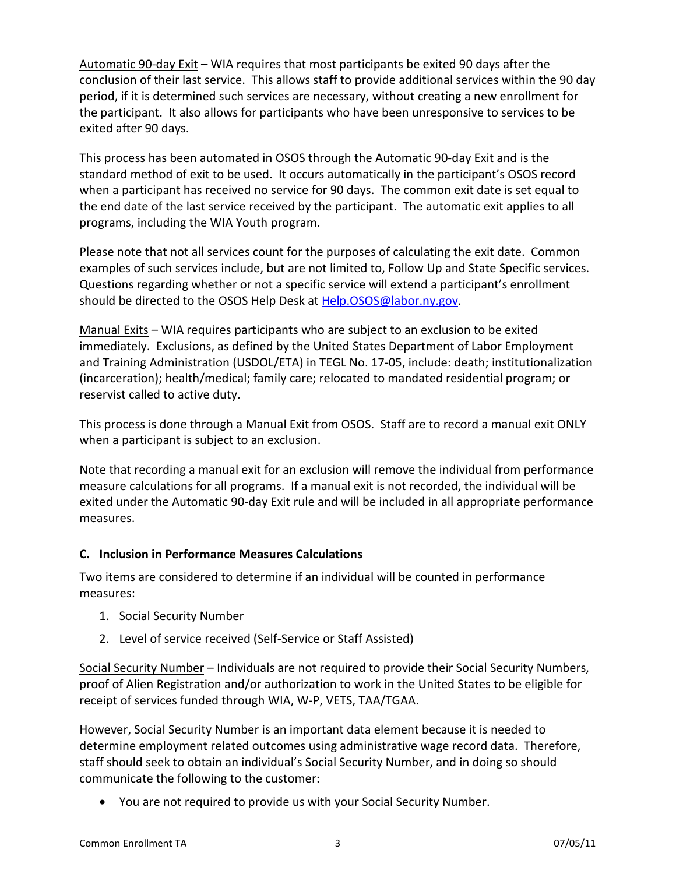Automatic 90-day Exit – WIA requires that most participants be exited 90 days after the conclusion of their last service. This allows staff to provide additional services within the 90 day period, if it is determined such services are necessary, without creating a new enrollment for the participant. It also allows for participants who have been unresponsive to services to be exited after 90 days.

This process has been automated in OSOS through the Automatic 90-day Exit and is the standard method of exit to be used. It occurs automatically in the participant's OSOS record when a participant has received no service for 90 days. The common exit date is set equal to the end date of the last service received by the participant. The automatic exit applies to all programs, including the WIA Youth program.

Please note that not all services count for the purposes of calculating the exit date. Common examples of such services include, but are not limited to, Follow Up and State Specific services. Questions regarding whether or not a specific service will extend a participant's enrollment should be directed to the OSOS Help Desk at [Help.OSOS@labor.ny.gov.](mailto:Help.OSOS@labor.ny.gov)

Manual Exits – WIA requires participants who are subject to an exclusion to be exited immediately. Exclusions, as defined by the United States Department of Labor Employment and Training Administration (USDOL/ETA) in TEGL No. 17-05, include: death; institutionalization (incarceration); health/medical; family care; relocated to mandated residential program; or reservist called to active duty.

This process is done through a Manual Exit from OSOS. Staff are to record a manual exit ONLY when a participant is subject to an exclusion.

Note that recording a manual exit for an exclusion will remove the individual from performance measure calculations for all programs. If a manual exit is not recorded, the individual will be exited under the Automatic 90-day Exit rule and will be included in all appropriate performance measures.

## **C. Inclusion in Performance Measures Calculations**

Two items are considered to determine if an individual will be counted in performance measures:

- 1. Social Security Number
- 2. Level of service received (Self-Service or Staff Assisted)

Social Security Number – Individuals are not required to provide their Social Security Numbers, proof of Alien Registration and/or authorization to work in the United States to be eligible for receipt of services funded through WIA, W-P, VETS, TAA/TGAA.

However, Social Security Number is an important data element because it is needed to determine employment related outcomes using administrative wage record data. Therefore, staff should seek to obtain an individual's Social Security Number, and in doing so should communicate the following to the customer:

• You are not required to provide us with your Social Security Number.